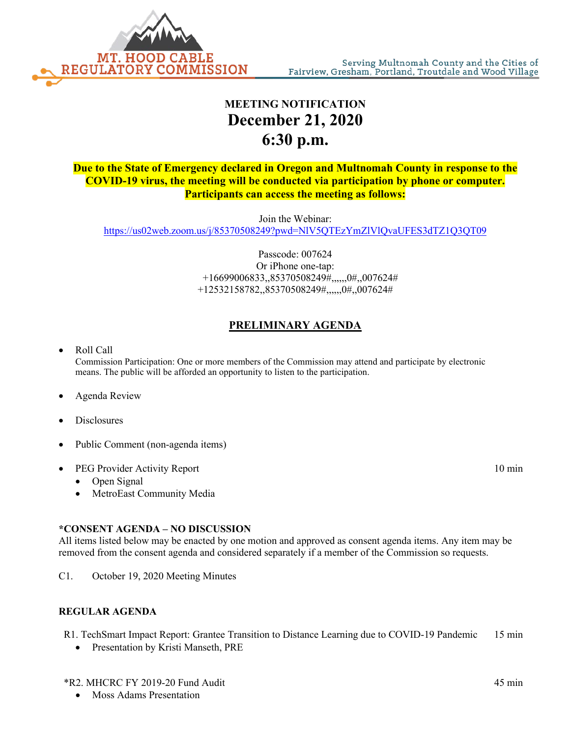

# **MEETING NOTIFICATION December 21, 2020 6:30 p.m.**

**Due to the State of Emergency declared in Oregon and Multnomah County in response to the COVID-19 virus, the meeting will be conducted via participation by phone or computer. Participants can access the meeting as follows:**

Join the Webinar: <https://us02web.zoom.us/j/85370508249?pwd=NlV5QTEzYmZlVlQvaUFES3dTZ1Q3QT09>

> Passcode: 007624 Or iPhone one-tap: +16699006833,,85370508249#,,,,,,0#,,007624# +12532158782,,85370508249#,,,,,,0#,,007624#

# **PRELIMINARY AGENDA**

## • Roll Call

Commission Participation: One or more members of the Commission may attend and participate by electronic means. The public will be afforded an opportunity to listen to the participation.

#### • Agenda Review

- **Disclosures**
- Public Comment (non-agenda items)

#### • PEG Provider Activity Report 10 min

- Open Signal
- MetroEast Community Media

#### **\*CONSENT AGENDA – NO DISCUSSION**

All items listed below may be enacted by one motion and approved as consent agenda items. Any item may be removed from the consent agenda and considered separately if a member of the Commission so requests.

C1. October 19, 2020 Meeting Minutes

#### **REGULAR AGENDA**

R1. TechSmart Impact Report: Grantee Transition to Distance Learning due to COVID-19 Pandemic 15 min

• Presentation by Kristi Manseth, PRE

## \*R2. MHCRC FY 2019-20 Fund Audit 45 min

• Moss Adams Presentation